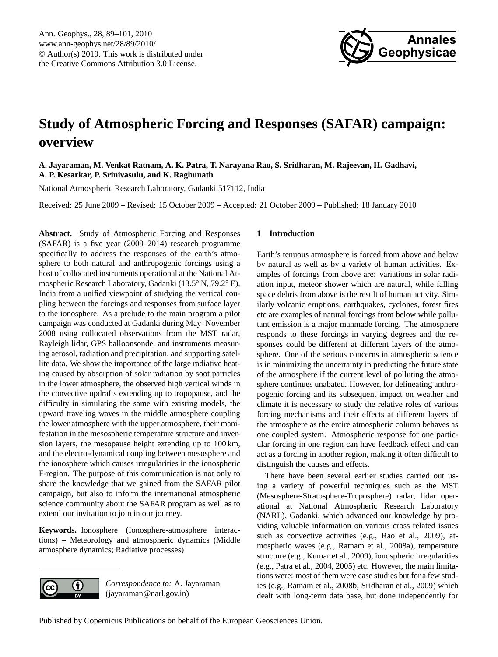

# <span id="page-0-0"></span>**Study of Atmospheric Forcing and Responses (SAFAR) campaign: overview**

**A. Jayaraman, M. Venkat Ratnam, A. K. Patra, T. Narayana Rao, S. Sridharan, M. Rajeevan, H. Gadhavi, A. P. Kesarkar, P. Srinivasulu, and K. Raghunath**

National Atmospheric Research Laboratory, Gadanki 517112, India

Received: 25 June 2009 – Revised: 15 October 2009 – Accepted: 21 October 2009 – Published: 18 January 2010

**Abstract.** Study of Atmospheric Forcing and Responses (SAFAR) is a five year (2009–2014) research programme specifically to address the responses of the earth's atmosphere to both natural and anthropogenic forcings using a host of collocated instruments operational at the National Atmospheric Research Laboratory, Gadanki (13.5◦ N, 79.2◦ E), India from a unified viewpoint of studying the vertical coupling between the forcings and responses from surface layer to the ionosphere. As a prelude to the main program a pilot campaign was conducted at Gadanki during May–November 2008 using collocated observations from the MST radar, Rayleigh lidar, GPS balloonsonde, and instruments measuring aerosol, radiation and precipitation, and supporting satellite data. We show the importance of the large radiative heating caused by absorption of solar radiation by soot particles in the lower atmosphere, the observed high vertical winds in the convective updrafts extending up to tropopause, and the difficulty in simulating the same with existing models, the upward traveling waves in the middle atmosphere coupling the lower atmosphere with the upper atmosphere, their manifestation in the mesospheric temperature structure and inversion layers, the mesopause height extending up to 100 km, and the electro-dynamical coupling between mesosphere and the ionosphere which causes irregularities in the ionospheric F-region. The purpose of this communication is not only to share the knowledge that we gained from the SAFAR pilot campaign, but also to inform the international atmospheric science community about the SAFAR program as well as to extend our invitation to join in our journey.

**Keywords.** Ionosphere (Ionosphere-atmosphere interactions) – Meteorology and atmospheric dynamics (Middle atmosphere dynamics; Radiative processes)



*Correspondence to:* A. Jayaraman (jayaraman@narl.gov.in)

# **1 Introduction**

Earth's tenuous atmosphere is forced from above and below by natural as well as by a variety of human activities. Examples of forcings from above are: variations in solar radiation input, meteor shower which are natural, while falling space debris from above is the result of human activity. Similarly volcanic eruptions, earthquakes, cyclones, forest fires etc are examples of natural forcings from below while pollutant emission is a major manmade forcing. The atmosphere responds to these forcings in varying degrees and the responses could be different at different layers of the atmosphere. One of the serious concerns in atmospheric science is in minimizing the uncertainty in predicting the future state of the atmosphere if the current level of polluting the atmosphere continues unabated. However, for delineating anthropogenic forcing and its subsequent impact on weather and climate it is necessary to study the relative roles of various forcing mechanisms and their effects at different layers of the atmosphere as the entire atmospheric column behaves as one coupled system. Atmospheric response for one particular forcing in one region can have feedback effect and can act as a forcing in another region, making it often difficult to distinguish the causes and effects.

There have been several earlier studies carried out using a variety of powerful techniques such as the MST (Mesosphere-Stratosphere-Troposphere) radar, lidar operational at National Atmospheric Research Laboratory (NARL), Gadanki, which advanced our knowledge by providing valuable information on various cross related issues such as convective activities (e.g., Rao et al., 2009), atmospheric waves (e.g., Ratnam et al., 2008a), temperature structure (e.g., Kumar et al., 2009), ionospheric irregularities (e.g., Patra et al., 2004, 2005) etc. However, the main limitations were: most of them were case studies but for a few studies (e.g., Ratnam et al., 2008b; Sridharan et al., 2009) which dealt with long-term data base, but done independently for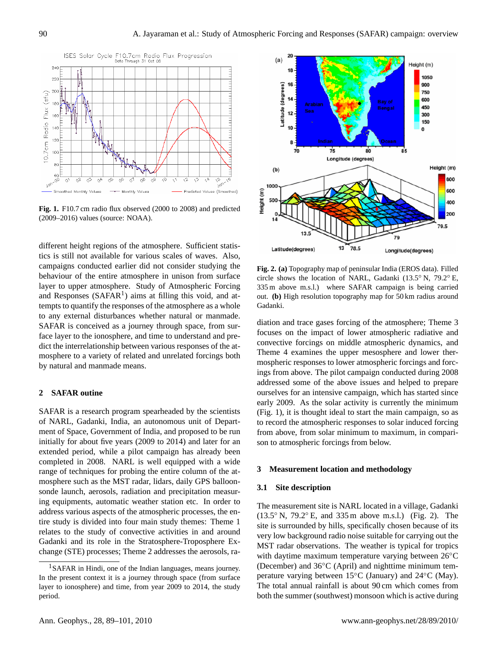

Fig. 1. F10.7 cm radio flux observed (2000 to 2008) and predicted (2009–2016) values (source: NOAA).

dict the interrelationship between various responses of the atdifferent height regions of the atmosphere. Sufficient statistics is still not available for various scales of waves. Also, campaigns conducted earlier did not consider studying the behaviour of the entire atmosphere in unison from surface layer to upper atmosphere. Study of Atmospheric Forcing and Responses  $(SAFAR<sup>1</sup>)$  $(SAFAR<sup>1</sup>)$  $(SAFAR<sup>1</sup>)$  aims at filling this void, and attempts to quantify the responses of the atmosphere as a whole to any external disturbances whether natural or manmade. SAFAR is conceived as a journey through space, from surface layer to the ionosphere, and time to understand and premosphere to a variety of related and unrelated forcings both by natural and manmade means.

## **2 SAFAR outine**

SAFAR is a research program spearheaded by the scientists of NARL, Gadanki, India, an autonomous unit of Department of Space, Government of India, and proposed to be run initially for about five years (2009 to 2014) and later for an extended period, while a pilot campaign has already been completed in 2008. NARL is well equipped with a wide range of techniques for probing the entire column of the atmosphere such as the MST radar, lidars, daily GPS balloonsonde launch, aerosols, radiation and precipitation measuring equipments, automatic weather station etc. In order to address various aspects of the atmospheric processes, the entire study is divided into four main study themes: Theme 1 relates to the study of convective activities in and around Gadanki and its role in the Stratosphere-Troposphere Exchange (STE) processes; Theme 2 addresses the aerosols, ra-



circle shows the location of NARL, Gadanki (13.5<sup>°</sup> N, 79.2<sup>°</sup> E, 335 m above m.s.l.) where SAFAR campaign is being carried out. (b) High resolution topography map for 50 km radius around **Fig. 2. (a)** Topography map of peninsular India (EROS data). Filled Gadanki.

addressed some of the above issues and helped to prepare diation and trace gases forcing of the atmosphere; Theme 3 focuses on the impact of lower atmospheric radiative and convective forcings on middle atmospheric dynamics, and Theme 4 examines the upper mesosphere and lower thermospheric responses to lower atmospheric forcings and forcings from above. The pilot campaign conducted during 2008 ourselves for an intensive campaign, which has started since early 2009. As the solar activity is currently the minimum (Fig. 1), it is thought ideal to start the main campaign, so as to record the atmospheric responses to solar induced forcing from above, from solar minimum to maximum, in comparison to atmospheric forcings from below.

# **3 Measurement location and methodology**

## **3.1 Site description**

The measurement site is NARL located in a village, Gadanki (13.5◦ N, 79.2◦ E, and 335 m above m.s.l.) (Fig. 2). The site is surrounded by hills, specifically chosen because of its very low background radio noise suitable for carrying out the MST radar observations. The weather is typical for tropics with daytime maximum temperature varying between 26<sup>°</sup>C (December) and 36◦C (April) and nighttime minimum temperature varying between 15◦C (January) and 24◦C (May). The total annual rainfall is about 90 cm which comes from both the summer (southwest) monsoon which is active during

<span id="page-1-0"></span><sup>&</sup>lt;sup>1</sup>SAFAR in Hindi, one of the Indian languages, means journey. In the present context it is a journey through space (from surface layer to ionosphere) and time, from year 2009 to 2014, the study period.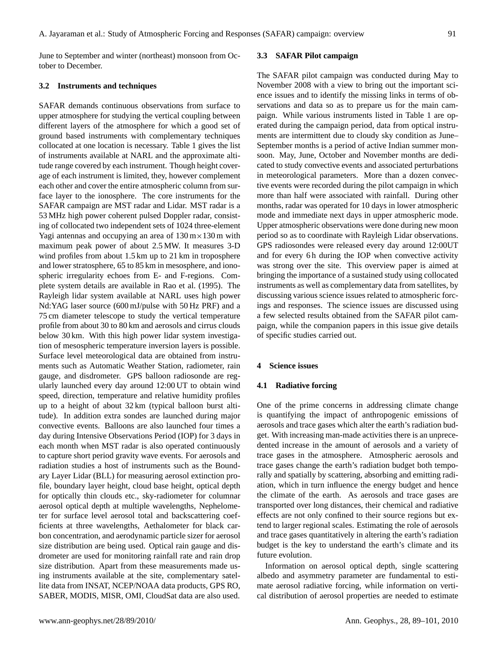June to September and winter (northeast) monsoon from October to December.

## **3.2 Instruments and techniques**

SAFAR demands continuous observations from surface to upper atmosphere for studying the vertical coupling between different layers of the atmosphere for which a good set of ground based instruments with complementary techniques collocated at one location is necessary. Table 1 gives the list of instruments available at NARL and the approximate altitude range covered by each instrument. Though height coverage of each instrument is limited, they, however complement each other and cover the entire atmospheric column from surface layer to the ionosphere. The core instruments for the SAFAR campaign are MST radar and Lidar. MST radar is a 53 MHz high power coherent pulsed Doppler radar, consisting of collocated two independent sets of 1024 three-element Yagi antennas and occupying an area of  $130 \text{ m} \times 130 \text{ m}$  with maximum peak power of about 2.5 MW. It measures 3-D wind profiles from about 1.5 km up to 21 km in troposphere and lower stratosphere, 65 to 85 km in mesosphere, and ionospheric irregularity echoes from E- and F-regions. Complete system details are available in Rao et al. (1995). The Rayleigh lidar system available at NARL uses high power Nd:YAG laser source (600 mJ/pulse with 50 Hz PRF) and a 75 cm diameter telescope to study the vertical temperature profile from about 30 to 80 km and aerosols and cirrus clouds below 30 km. With this high power lidar system investigation of mesospheric temperature inversion layers is possible. Surface level meteorological data are obtained from instruments such as Automatic Weather Station, radiometer, rain gauge, and disdrometer. GPS balloon radiosonde are regularly launched every day around 12:00 UT to obtain wind speed, direction, temperature and relative humidity profiles up to a height of about 32 km (typical balloon burst altitude). In addition extra sondes are launched during major convective events. Balloons are also launched four times a day during Intensive Observations Period (IOP) for 3 days in each month when MST radar is also operated continuously to capture short period gravity wave events. For aerosols and radiation studies a host of instruments such as the Boundary Layer Lidar (BLL) for measuring aerosol extinction profile, boundary layer height, cloud base height, optical depth for optically thin clouds etc., sky-radiometer for columnar aerosol optical depth at multiple wavelengths, Nephelometer for surface level aerosol total and backscattering coefficients at three wavelengths, Aethalometer for black carbon concentration, and aerodynamic particle sizer for aerosol size distribution are being used. Optical rain gauge and disdrometer are used for monitoring rainfall rate and rain drop size distribution. Apart from these measurements made using instruments available at the site, complementary satellite data from INSAT, NCEP/NOAA data products, GPS RO, SABER, MODIS, MISR, OMI, CloudSat data are also used.

## **3.3 SAFAR Pilot campaign**

The SAFAR pilot campaign was conducted during May to November 2008 with a view to bring out the important science issues and to identify the missing links in terms of observations and data so as to prepare us for the main campaign. While various instruments listed in Table 1 are operated during the campaign period, data from optical instruments are intermittent due to cloudy sky condition as June– September months is a period of active Indian summer monsoon. May, June, October and November months are dedicated to study convective events and associated perturbations in meteorological parameters. More than a dozen convective events were recorded during the pilot campaign in which more than half were associated with rainfall. During other months, radar was operated for 10 days in lower atmospheric mode and immediate next days in upper atmospheric mode. Upper atmospheric observations were done during new moon period so as to coordinate with Rayleigh Lidar observations. GPS radiosondes were released every day around 12:00UT and for every 6h during the IOP when convective activity was strong over the site. This overview paper is aimed at bringing the importance of a sustained study using collocated instruments as well as complementary data from satellites, by discussing various science issues related to atmospheric forcings and responses. The science issues are discussed using a few selected results obtained from the SAFAR pilot campaign, while the companion papers in this issue give details of specific studies carried out.

# **4 Science issues**

# **4.1 Radiative forcing**

One of the prime concerns in addressing climate change is quantifying the impact of anthropogenic emissions of aerosols and trace gases which alter the earth's radiation budget. With increasing man-made activities there is an unprecedented increase in the amount of aerosols and a variety of trace gases in the atmosphere. Atmospheric aerosols and trace gases change the earth's radiation budget both temporally and spatially by scattering, absorbing and emitting radiation, which in turn influence the energy budget and hence the climate of the earth. As aerosols and trace gases are transported over long distances, their chemical and radiative effects are not only confined to their source regions but extend to larger regional scales. Estimating the role of aerosols and trace gases quantitatively in altering the earth's radiation budget is the key to understand the earth's climate and its future evolution.

Information on aerosol optical depth, single scattering albedo and asymmetry parameter are fundamental to estimate aerosol radiative forcing, while information on vertical distribution of aerosol properties are needed to estimate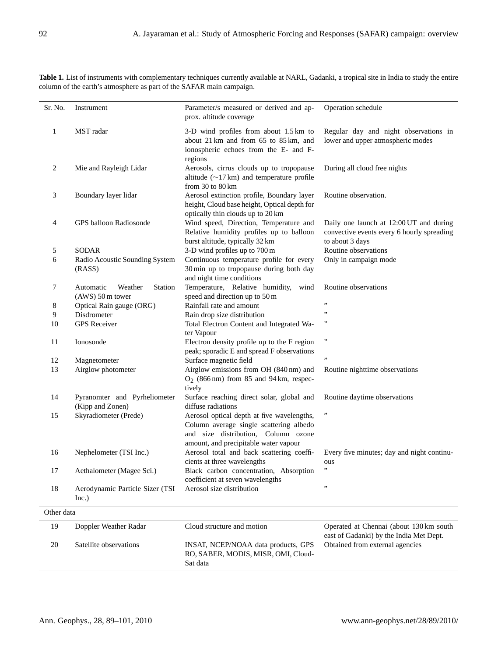| Sr. No.    | Instrument                                                   | Parameter/s measured or derived and ap-<br>prox. altitude coverage                                                                                                    | Operation schedule                                                                                       |
|------------|--------------------------------------------------------------|-----------------------------------------------------------------------------------------------------------------------------------------------------------------------|----------------------------------------------------------------------------------------------------------|
| 1          | MST radar                                                    | 3-D wind profiles from about 1.5 km to<br>about 21 km and from 65 to 85 km, and<br>ionospheric echoes from the E- and F-<br>regions                                   | Regular day and night observations in<br>lower and upper atmospheric modes                               |
| 2          | Mie and Rayleigh Lidar                                       | Aerosols, cirrus clouds up to tropopause<br>altitude $(\sim 17 \text{ km})$ and temperature profile<br>from $30$ to $80$ km                                           | During all cloud free nights                                                                             |
| 3          | Boundary layer lidar                                         | Aerosol extinction profile, Boundary layer<br>height, Cloud base height, Optical depth for<br>optically thin clouds up to 20 km                                       | Routine observation.                                                                                     |
| 4          | GPS balloon Radiosonde                                       | Wind speed, Direction, Temperature and<br>Relative humidity profiles up to balloon<br>burst altitude, typically 32 km                                                 | Daily one launch at 12:00 UT and during<br>convective events every 6 hourly spreading<br>to about 3 days |
| 5          | <b>SODAR</b>                                                 | 3-D wind profiles up to 700 m                                                                                                                                         | Routine observations                                                                                     |
| 6          | Radio Acoustic Sounding System<br>(RASS)                     | Continuous temperature profile for every<br>30 min up to tropopause during both day<br>and night time conditions                                                      | Only in campaign mode                                                                                    |
| 7          | Automatic<br>Weather<br><b>Station</b><br>$(AWS)$ 50 m tower | Temperature, Relative humidity, wind<br>speed and direction up to 50 m                                                                                                | Routine observations                                                                                     |
| 8          | Optical Rain gauge (ORG)                                     | Rainfall rate and amount                                                                                                                                              | ,,                                                                                                       |
| 9          | Disdrometer                                                  | Rain drop size distribution                                                                                                                                           | ,,                                                                                                       |
| 10         | <b>GPS</b> Receiver                                          | Total Electron Content and Integrated Wa-<br>ter Vapour                                                                                                               | ,,                                                                                                       |
| 11         | Ionosonde                                                    | Electron density profile up to the F region<br>peak; sporadic E and spread F observations                                                                             | ,,                                                                                                       |
| 12         | Magnetometer                                                 | Surface magnetic field                                                                                                                                                | ,,                                                                                                       |
| 13         | Airglow photometer                                           | Airglow emissions from OH (840 nm) and<br>$O_2$ (866 nm) from 85 and 94 km, respec-<br>tively                                                                         | Routine nighttime observations                                                                           |
| 14         | Pyranomter and Pyrheliometer<br>(Kipp and Zonen)             | Surface reaching direct solar, global and<br>diffuse radiations                                                                                                       | Routine daytime observations                                                                             |
| 15         | Skyradiometer (Prede)                                        | Aerosol optical depth at five wavelengths,<br>Column average single scattering albedo<br>and size distribution, Column ozone<br>amount, and precipitable water vapour | ,,                                                                                                       |
| 16         | Nephelometer (TSI Inc.)                                      | Aerosol total and back scattering coeffi-<br>cients at three wavelengths                                                                                              | Every five minutes; day and night continu-<br>ous                                                        |
| 17         | Aethalometer (Magee Sci.)                                    | Black carbon concentration, Absorption<br>coefficient at seven wavelengths                                                                                            | , 1                                                                                                      |
| 18         | Aerodynamic Particle Sizer (TSI<br>Inc.)                     | Aerosol size distribution                                                                                                                                             | ,,                                                                                                       |
| Other data |                                                              |                                                                                                                                                                       |                                                                                                          |
| 19         | Doppler Weather Radar                                        | Cloud structure and motion                                                                                                                                            | Operated at Chennai (about 130 km south<br>east of Gadanki) by the India Met Dept.                       |
| 20         | Satellite observations                                       | INSAT, NCEP/NOAA data products, GPS<br>RO, SABER, MODIS, MISR, OMI, Cloud-<br>Sat data                                                                                | Obtained from external agencies                                                                          |

Table 1. List of instruments with complementary techniques currently available at NARL, Gadanki, a tropical site in India to study the entire column of the earth's atmosphere as part of the SAFAR main campaign.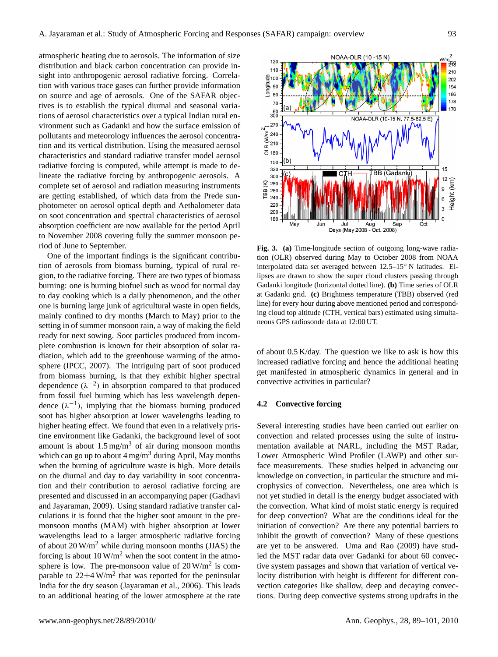atmospheric heating due to aerosols. The information of size distribution and black carbon concentration can provide insight into anthropogenic aerosol radiative forcing. Correlation with various trace gases can further provide information on source and age of aerosols. One of the SAFAR objectives is to establish the typical diurnal and seasonal variations of aerosol characteristics over a typical Indian rural environment such as Gadanki and how the surface emission of pollutants and meteorology influences the aerosol concentration and its vertical distribution. Using the measured aerosol characteristics and standard radiative transfer model aerosol radiative forcing is computed, while attempt is made to delineate the radiative forcing by anthropogenic aerosols. A complete set of aerosol and radiation measuring instruments are getting established, of which data from the Prede sunphotometer on aerosol optical depth and Aethalometer data on soot concentration and spectral characteristics of aerosol absorption coefficient are now available for the period April to November 2008 covering fully the summer monsoon period of June to September.

One of the important findings is the significant contribution of aerosols from biomass burning, typical of rural region, to the radiative forcing. There are two types of biomass burning: one is burning biofuel such as wood for normal day to day cooking which is a daily phenomenon, and the other one is burning large junk of agricultural waste in open fields, mainly confined to dry months (March to May) prior to the setting in of summer monsoon rain, a way of making the field ready for next sowing. Soot particles produced from incomplete combustion is known for their absorption of solar radiation, which add to the greenhouse warming of the atmosphere (IPCC, 2007). The intriguing part of soot produced from biomass burning, is that they exhibit higher spectral dependence  $(\lambda^{-2})$  in absorption compared to that produced from fossil fuel burning which has less wavelength dependence  $(\lambda^{-1})$ , implying that the biomass burning produced soot has higher absorption at lower wavelengths leading to higher heating effect. We found that even in a relatively pristine environment like Gadanki, the background level of soot amount is about  $1.5 \text{ mg/m}^3$  of air during monsoon months which can go up to about  $4 \text{ mg/m}^3$  during April, May months when the burning of agriculture waste is high. More details on the diurnal and day to day variability in soot concentration and their contribution to aerosol radiative forcing are presented and discussed in an accompanying paper (Gadhavi and Jayaraman, 2009). Using standard radiative transfer calculations it is found that the higher soot amount in the premonsoon months (MAM) with higher absorption at lower wavelengths lead to a larger atmospheric radiative forcing of about  $20 \,\mathrm{W/m^2}$  while during monsoon months (JJAS) the forcing is about  $10 \,\mathrm{W/m^2}$  when the soot content in the atmosphere is low. The pre-monsoon value of  $20 \,\mathrm{W/m^2}$  is comparable to  $22\pm 4$  W/m<sup>2</sup> that was reported for the peninsular India for the dry season (Jayaraman et al., 2006). This leads to an additional heating of the lower atmosphere at the rate



Fig. 3. (a) Time-longitude section of outgoing long-wave radiation (OLR) observed during May to October 2008 from NOAA interpolated data set averaged between 12.5–15° N latitudes. Ellipses are drawn to show the super cloud clusters passing through Gadanki longitude (horizontal dotted line). **(b)** Time series of OLR at Gadanki grid. **(c)** Brightness temperature (TBB) observed (red line) for every hour during above mentioned period and corresponding cloud top altitude (CTH, vertical bars) estimated using simultaneous GPS radiosonde data at 12:00 UT.

of about 0.5 K/day. The question we like to ask is how this increased radiative forcing and hence the additional heating get manifested in atmospheric dynamics in general and in convective activities in particular?

#### **4.2 Convective forcing**

Several interesting studies have been carried out earlier on convection and related processes using the suite of instrumentation available at NARL, including the MST Radar, Lower Atmospheric Wind Profiler (LAWP) and other surface measurements. These studies helped in advancing our knowledge on convection, in particular the structure and microphysics of convection. Nevertheless, one area which is not yet studied in detail is the energy budget associated with the convection. What kind of moist static energy is required for deep convection? What are the conditions ideal for the initiation of convection? Are there any potential barriers to inhibit the growth of convection? Many of these questions are yet to be answered. Uma and Rao (2009) have studied the MST radar data over Gadanki for about 60 convective system passages and shown that variation of vertical velocity distribution with height is different for different convection categories like shallow, deep and decaying convections. During deep convective systems strong updrafts in the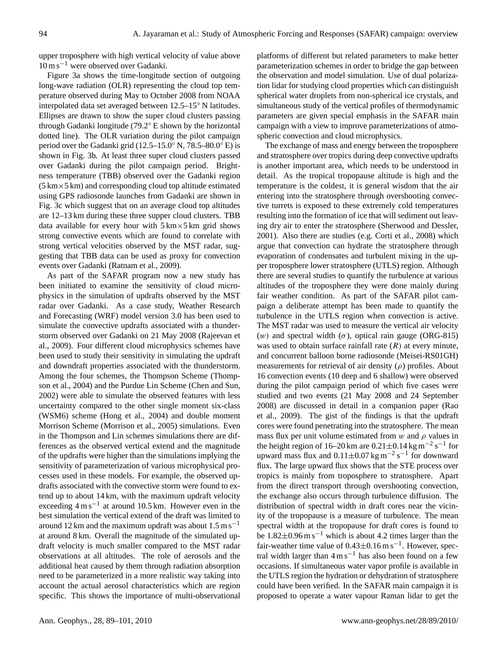upper troposphere with high vertical velocity of value above 10 m s−<sup>1</sup> were observed over Gadanki.

Figure 3a shows the time-longitude section of outgoing long-wave radiation (OLR) representing the cloud top temperature observed during May to October 2008 from NOAA interpolated data set averaged between 12.5–15◦ N latitudes. Ellipses are drawn to show the super cloud clusters passing through Gadanki longitude (79.2◦ E shown by the horizontal dotted line). The OLR variation during the pilot campaign period over the Gadanki grid (12.5–15.0◦ N, 78.5–80.0◦ E) is shown in Fig. 3b. At least three super cloud clusters passed over Gadanki during the pilot campaign period. Brightness temperature (TBB) observed over the Gadanki region  $(5 \text{ km} \times 5 \text{ km})$  and corresponding cloud top altitude estimated using GPS radiosonde launches from Gadanki are shown in Fig. 3c which suggest that on an average cloud top altitudes are 12–13 km during these three supper cloud clusters. TBB data available for every hour with  $5 \text{ km} \times 5 \text{ km}$  grid shows strong convective events which are found to correlate with strong vertical velocities observed by the MST radar, suggesting that TBB data can be used as proxy for convection events over Gadanki (Ratnam et al., 2009).

As part of the SAFAR program now a new study has been initiated to examine the sensitivity of cloud microphysics in the simulation of updrafts observed by the MST radar over Gadanki. As a case study, Weather Research and Forecasting (WRF) model version 3.0 has been used to simulate the convective updrafts associated with a thunderstorm observed over Gadanki on 21 May 2008 (Rajeevan et al., 2009). Four different cloud microphysics schemes have been used to study their sensitivity in simulating the updraft and downdraft properties associated with the thunderstorm. Among the four schemes, the Thompson Scheme (Thompson et al., 2004) and the Purdue Lin Scheme (Chen and Sun, 2002) were able to simulate the observed features with less uncertainty compared to the other single moment six-class (WSM6) scheme (Hong et al., 2004) and double moment Morrison Scheme (Morrison et al., 2005) simulations. Even in the Thompson and Lin schemes simulations there are differences as the observed vertical extend and the magnitude of the updrafts were higher than the simulations implying the sensitivity of parameterization of various microphysical processes used in these models. For example, the observed updrafts associated with the convective storm were found to extend up to about 14 km, with the maximum updraft velocity exceeding 4 m s−<sup>1</sup> at around 10.5 km. However even in the best simulation the vertical extend of the draft was limited to around 12 km and the maximum updraft was about  $1.5 \text{ m s}^{-1}$ at around 8 km. Overall the magnitude of the simulated updraft velocity is much smaller compared to the MST radar observations at all altitudes. The role of aerosols and the additional heat caused by them through radiation absorption need to be parameterized in a more realistic way taking into account the actual aerosol characteristics which are region specific. This shows the importance of multi-observational platforms of different but related parameters to make better parameterization schemes in order to bridge the gap between the observation and model simulation. Use of dual polarization lidar for studying cloud properties which can distinguish spherical water droplets from non-spherical ice crystals, and simultaneous study of the vertical profiles of thermodynamic parameters are given special emphasis in the SAFAR main campaign with a view to improve parameterizations of atmospheric convection and cloud microphysics.

The exchange of mass and energy between the troposphere and stratosphere over tropics during deep convective updrafts is another important area, which needs to be understood in detail. As the tropical tropopause altitude is high and the temperature is the coldest, it is general wisdom that the air entering into the stratosphere through overshooting convective turrets is exposed to these extremely cold temperatures resulting into the formation of ice that will sediment out leaving dry air to enter the stratosphere (Sherwood and Dessler, 2001). Also there are studies (e.g. Corti et al., 2008) which argue that convection can hydrate the stratosphere through evaporation of condensates and turbulent mixing in the upper troposphere lower stratosphere (UTLS) region. Although there are several studies to quantify the turbulence at various altitudes of the troposphere they were done mainly during fair weather condition. As part of the SAFAR pilot campaign a deliberate attempt has been made to quantify the turbulence in the UTLS region when convection is active. The MST radar was used to measure the vertical air velocity (w) and spectral width ( $\sigma$ ), optical rain gauge (ORG-815) was used to obtain surface rainfall rate  $(R)$  at every minute, and concurrent balloon borne radiosonde (Meisei-RS01GH) measurements for retrieval of air density  $(\rho)$  profiles. About 16 convection events (10 deep and 6 shallow) were observed during the pilot campaign period of which five cases were studied and two events (21 May 2008 and 24 September 2008) are discussed in detail in a companion paper (Rao et al., 2009). The gist of the findings is that the updraft cores were found penetrating into the stratosphere. The mean mass flux per unit volume estimated from w and  $\rho$  values in the height region of 16–20 km are  $0.21 \pm 0.14$  kg m<sup>-2</sup> s<sup>-1</sup> for upward mass flux and  $0.11 \pm 0.07$  kg m<sup>-2</sup> s<sup>-1</sup> for downward flux. The large upward flux shows that the STE process over tropics is mainly from troposphere to stratosphere. Apart from the direct transport through overshooting convection, the exchange also occurs through turbulence diffusion. The distribution of spectral width in draft cores near the vicinity of the tropopause is a measure of turbulence. The mean spectral width at the tropopause for draft cores is found to be  $1.82 \pm 0.96$  m s<sup>-1</sup> which is about 4.2 times larger than the fair-weather time value of  $0.43 \pm 0.16$  m s<sup>-1</sup>. However, spectral width larger than  $4 \text{ m s}^{-1}$  has also been found on a few occasions. If simultaneous water vapor profile is available in the UTLS region the hydration or dehydration of stratosphere could have been verified. In the SAFAR main campaign it is proposed to operate a water vapour Raman lidar to get the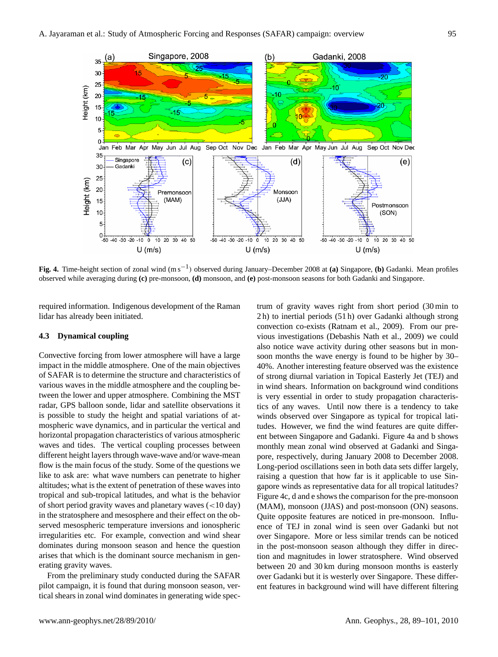

Fig. 4. Time-height section of zonal wind  $(m s^{-1})$  observed during January–December 2008 at (a) Singapore, (b) Gadanki. Mean profiles observed while averaging during (c) pre-monsoon, (d) monsoon, and (e) post-monsoon seasons for both Gadanki and Singapore.

required information. Indigenous development of the Raman lidar has already been initiated.

# **4.3 Dynamical coupling**

Convective forcing from lower atmosphere will have a large impact in the middle atmosphere. One of the main objectives of SAFAR is to determine the structure and characteristics of various waves in the middle atmosphere and the coupling between the lower and upper atmosphere. Combining the MST radar, GPS balloon sonde, lidar and satellite observations it is possible to study the height and spatial variations of atmospheric wave dynamics, and in particular the vertical and horizontal propagation characteristics of various atmospheric waves and tides. The vertical coupling processes between different height layers through wave-wave and/or wave-mean flow is the main focus of the study. Some of the questions we like to ask are: what wave numbers can penetrate to higher altitudes; what is the extent of penetration of these waves into tropical and sub-tropical latitudes, and what is the behavior of short period gravity waves and planetary waves (<10 day) in the stratosphere and mesosphere and their effect on the observed mesospheric temperature inversions and ionospheric irregularities etc. For example, convection and wind shear dominates during monsoon season and hence the question arises that which is the dominant source mechanism in generating gravity waves.

From the preliminary study conducted during the SAFAR pilot campaign, it is found that during monsoon season, vertical shears in zonal wind dominates in generating wide spectrum of gravity waves right from short period (30 min to 2 h) to inertial periods (51 h) over Gadanki although strong convection co-exists (Ratnam et al., 2009). From our previous investigations (Debashis Nath et al., 2009) we could also notice wave activity during other seasons but in monsoon months the wave energy is found to be higher by 30– 40%. Another interesting feature observed was the existence of strong diurnal variation in Topical Easterly Jet (TEJ) and in wind shears. Information on background wind conditions is very essential in order to study propagation characteristics of any waves. Until now there is a tendency to take winds observed over Singapore as typical for tropical latitudes. However, we find the wind features are quite different between Singapore and Gadanki. Figure 4a and b shows monthly mean zonal wind observed at Gadanki and Singapore, respectively, during January 2008 to December 2008. Long-period oscillations seen in both data sets differ largely, raising a question that how far is it applicable to use Singapore winds as representative data for all tropical latitudes? Figure 4c, d and e shows the comparison for the pre-monsoon (MAM), monsoon (JJAS) and post-monsoon (ON) seasons. Quite opposite features are noticed in pre-monsoon. Influence of TEJ in zonal wind is seen over Gadanki but not over Singapore. More or less similar trends can be noticed in the post-monsoon season although they differ in direction and magnitudes in lower stratosphere. Wind observed between 20 and 30 km during monsoon months is easterly over Gadanki but it is westerly over Singapore. These different features in background wind will have different filtering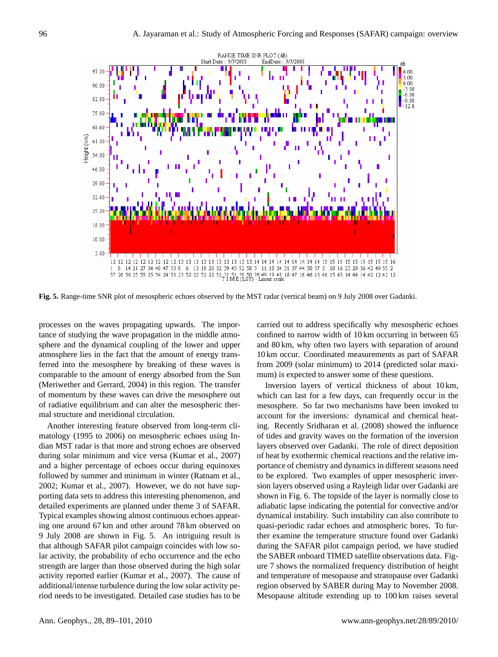

**Fig. 5.** Range-time SNR plot of mesospheric echoes observed by the MST radar (vertical beam) on 9 July 2008 over Gadanki.

processes on the waves propagating upwards. The impor-<br>
carried out to address specifically why mesospl processes on the waves propagating upwards. The impor-<br>tance of studying the wave propagation in the middle atmosphere and the dynamical coupling of the lower and upper atmosphere lies in the fact that the amount of energy transferred into the mesosphere by breaking of these waves is comparable to the amount of energy absorbed from the Sun (Meriwether and Gerrard, 2004) in this region. The transfer of momentum by these waves can drive the mesosphere out of radiative equilibrium and can alter the mesospheric thermal structure and meridional circulation.

Another interesting feature observed from long-term climatology (1995 to 2006) on mesospheric echoes using Indian MST radar is that more and strong echoes are observed during solar minimum and vice versa (Kumar et al., 2007) and a higher percentage of echoes occur during equinoxes followed by summer and minimum in winter (Ratnam et al., 2002; Kumar et al., 2007). However, we do not have supporting data sets to address this interesting phenomenon, and detailed experiments are planned under theme 3 of SAFAR. Typical examples showing almost continuous echoes appearing one around 67 km and other around 78 km observed on 9 July 2008 are shown in Fig. 5. An intriguing result is that although SAFAR pilot campaign coincides with low solar activity, the probability of echo occurrence and the echo strength are larger than those observed during the high solar activity reported earlier (Kumar et al., 2007). The cause of additional/intense turbulence during the low solar activity period needs to be investigated. Detailed case studies has to be

carried out to address specifically why mesospheric echoes confined to narrow width of 10 km occurring in between 65 and 80 km, why often two layers with separation of around 10 km occur. Coordinated measurements as part of SAFAR from 2009 (solar minimum) to 2014 (predicted solar maximum) is expected to answer some of these questions.

Inversion layers of vertical thickness of about 10 km, which can last for a few days, can frequently occur in the mesosphere. So far two mechanisms have been invoked to account for the inversions: dynamical and chemical heating. Recently Sridharan et al. (2008) showed the influence of tides and gravity waves on the formation of the inversion layers observed over Gadanki. The role of direct deposition of heat by exothermic chemical reactions and the relative importance of chemistry and dynamics in different seasons need to be explored. Two examples of upper mesospheric inversion layers observed using a Rayleigh lidar over Gadanki are shown in Fig. 6. The topside of the layer is normally close to adiabatic lapse indicating the potential for convective and/or dynamical instability. Such instability can also contribute to quasi-periodic radar echoes and atmospheric bores. To further examine the temperature structure found over Gadanki during the SAFAR pilot campaign period, we have studied the SABER onboard TIMED satellite observations data. Figure 7 shows the normalized frequency distribution of height and temperature of mesopause and stratopause over Gadanki region observed by SABER during May to November 2008. Mesopause altitude extending up to 100 km raises several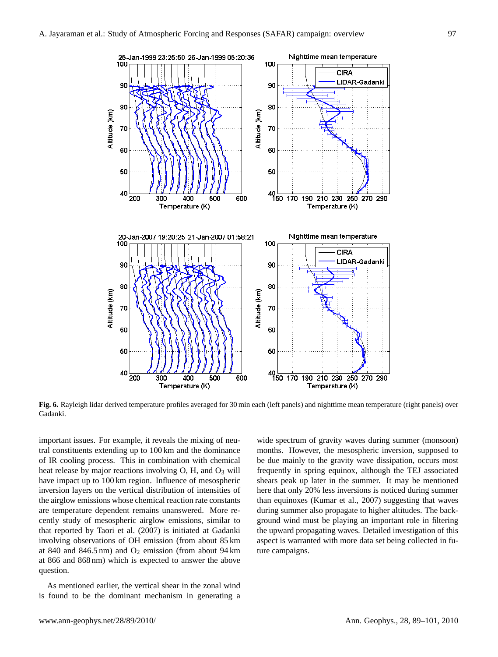

**Fig. 6.** Rayleigh lidar derived temperature profiles averaged for 30 min each (left panels) and nighttime mean temperature (right panels) over Gadanki.

important issues. For example, it reveals the mixing of neutral constituents extending up to 100 km and the dominance of IR cooling process. This in combination with chemical heat release by major reactions involving  $O$ , H, and  $O<sub>3</sub>$  will have impact up to 100 km region. Influence of mesospheric inversion layers on the vertical distribution of intensities of the airglow emissions whose chemical reaction rate constants are temperature dependent remains unanswered. More recently study of mesospheric airglow emissions, similar to that reported by Taori et al. (2007) is initiated at Gadanki involving observations of OH emission (from about 85 km at 840 and 846.5 nm) and  $O_2$  emission (from about 94 km at 866 and 868 nm) which is expected to answer the above question.

As mentioned earlier, the vertical shear in the zonal wind is found to be the dominant mechanism in generating a wide spectrum of gravity waves during summer (monsoon) months. However, the mesospheric inversion, supposed to be due mainly to the gravity wave dissipation, occurs most frequently in spring equinox, although the TEJ associated shears peak up later in the summer. It may be mentioned here that only 20% less inversions is noticed during summer than equinoxes (Kumar et al., 2007) suggesting that waves during summer also propagate to higher altitudes. The background wind must be playing an important role in filtering the upward propagating waves. Detailed investigation of this aspect is warranted with more data set being collected in future campaigns.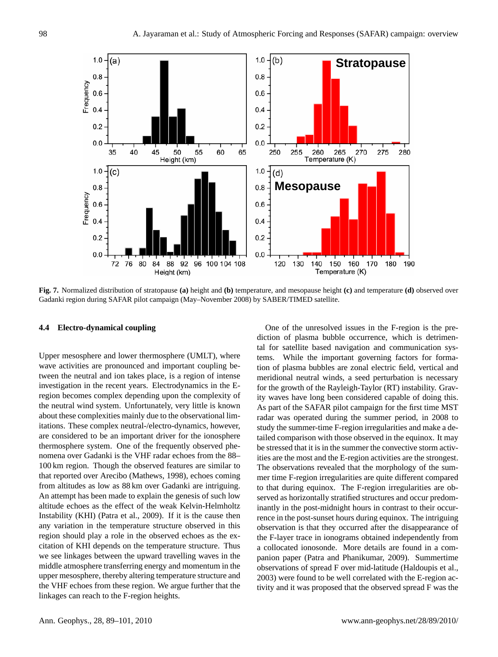

**Fig. 7.** Normalized distribution of stratopause **(a)** height and **(b)** temperature, and mesopause height **(c)** and temperature **(d)** observed over Gadanki region during SAFAR pilot campaign (May–November 2008) by SABER/TIMED satellite.

# **4.4 Electro-dynamical coupling**

Upper mesosphere and lower thermosphere (UMLT), where wave activities are pronounced and important coupling between the neutral and ion takes place, is a region of intense investigation in the recent years. Electrodynamics in the Eregion becomes complex depending upon the complexity of the neutral wind system. Unfortunately, very little is known about these complexities mainly due to the observational limitations. These complex neutral-/electro-dynamics, however, are considered to be an important driver for the ionosphere thermosphere system. One of the frequently observed phenomena over Gadanki is the VHF radar echoes from the 88– 100 km region. Though the observed features are similar to that reported over Arecibo (Mathews, 1998), echoes coming from altitudes as low as 88 km over Gadanki are intriguing. An attempt has been made to explain the genesis of such low altitude echoes as the effect of the weak Kelvin-Helmholtz Instability (KHI) (Patra et al., 2009). If it is the cause then any variation in the temperature structure observed in this region should play a role in the observed echoes as the excitation of KHI depends on the temperature structure. Thus we see linkages between the upward travelling waves in the middle atmosphere transferring energy and momentum in the upper mesosphere, thereby altering temperature structure and the VHF echoes from these region. We argue further that the linkages can reach to the F-region heights.

rence in the post-sunset hours during equinox. The intriguing hetimes (d) observed over Gadanki region of the unresolved issues in the F-region is the pre-(May-November 2008) by SABER/TIMED satellite. diction of plasma bubble occurrence, which is detrimental for satellite based navigation and communication systems. While the important governing factors for formation of plasma bubbles are zonal electric field, vertical and meridional neutral winds, a seed perturbation is necessary for the growth of the Rayleigh-Taylor (RT) instability. Gravity waves have long been considered capable of doing this. As part of the SAFAR pilot campaign for the first time MST radar was operated during the summer period, in 2008 to study the summer-time F-region irregularities and make a detailed comparison with those observed in the equinox. It may be stressed that it is in the summer the convective storm activities are the most and the E-region activities are the strongest. The observations revealed that the morphology of the summer time F-region irregularities are quite different compared to that during equinox. The F-region irregularities are observed as horizontally stratified structures and occur predominantly in the post-midnight hours in contrast to their occurobservation is that they occurred after the disappearance of the F-layer trace in ionograms obtained independently from a collocated ionosonde. More details are found in a companion paper (Patra and Phanikumar, 2009). Summertime observations of spread F over mid-latitude (Haldoupis et al., 2003) were found to be well correlated with the E-region activity and it was proposed that the observed spread F was the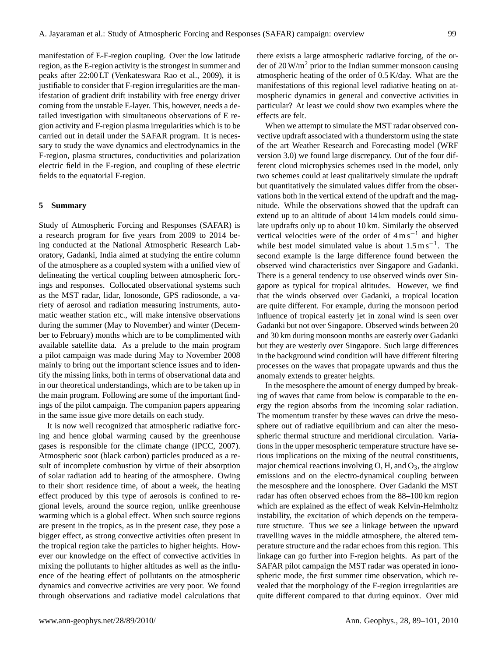manifestation of E-F-region coupling. Over the low latitude region, as the E-region activity is the strongest in summer and peaks after 22:00 LT (Venkateswara Rao et al., 2009), it is justifiable to consider that F-region irregularities are the manifestation of gradient drift instability with free energy driver coming from the unstable E-layer. This, however, needs a detailed investigation with simultaneous observations of E region activity and F-region plasma irregularities which is to be carried out in detail under the SAFAR program. It is necessary to study the wave dynamics and electrodynamics in the F-region, plasma structures, conductivities and polarization electric field in the E-region, and coupling of these electric fields to the equatorial F-region.

# **5 Summary**

Study of Atmospheric Forcing and Responses (SAFAR) is a research program for five years from 2009 to 2014 being conducted at the National Atmospheric Research Laboratory, Gadanki, India aimed at studying the entire column of the atmosphere as a coupled system with a unified view of delineating the vertical coupling between atmospheric forcings and responses. Collocated observational systems such as the MST radar, lidar, Ionosonde, GPS radiosonde, a variety of aerosol and radiation measuring instruments, automatic weather station etc., will make intensive observations during the summer (May to November) and winter (December to February) months which are to be complimented with available satellite data. As a prelude to the main program a pilot campaign was made during May to November 2008 mainly to bring out the important science issues and to identify the missing links, both in terms of observational data and in our theoretical understandings, which are to be taken up in the main program. Following are some of the important findings of the pilot campaign. The companion papers appearing in the same issue give more details on each study.

It is now well recognized that atmospheric radiative forcing and hence global warming caused by the greenhouse gases is responsible for the climate change (IPCC, 2007). Atmospheric soot (black carbon) particles produced as a result of incomplete combustion by virtue of their absorption of solar radiation add to heating of the atmosphere. Owing to their short residence time, of about a week, the heating effect produced by this type of aerosols is confined to regional levels, around the source region, unlike greenhouse warming which is a global effect. When such source regions are present in the tropics, as in the present case, they pose a bigger effect, as strong convective activities often present in the tropical region take the particles to higher heights. However our knowledge on the effect of convective activities in mixing the pollutants to higher altitudes as well as the influence of the heating effect of pollutants on the atmospheric dynamics and convective activities are very poor. We found through observations and radiative model calculations that there exists a large atmospheric radiative forcing, of the order of  $20 \,\mathrm{W/m^2}$  prior to the Indian summer monsoon causing atmospheric heating of the order of 0.5 K/day. What are the manifestations of this regional level radiative heating on atmospheric dynamics in general and convective activities in particular? At least we could show two examples where the effects are felt.

When we attempt to simulate the MST radar observed convective updraft associated with a thunderstorm using the state of the art Weather Research and Forecasting model (WRF version 3.0) we found large discrepancy. Out of the four different cloud microphysics schemes used in the model, only two schemes could at least qualitatively simulate the updraft but quantitatively the simulated values differ from the observations both in the vertical extend of the updraft and the magnitude. While the observations showed that the updraft can extend up to an altitude of about 14 km models could simulate updrafts only up to about 10 km. Similarly the observed vertical velocities were of the order of  $4 \text{ m s}^{-1}$  and higher while best model simulated value is about  $1.5 \text{ m s}^{-1}$ . The second example is the large difference found between the observed wind characteristics over Singapore and Gadanki. There is a general tendency to use observed winds over Singapore as typical for tropical altitudes. However, we find that the winds observed over Gadanki, a tropical location are quite different. For example, during the monsoon period influence of tropical easterly jet in zonal wind is seen over Gadanki but not over Singapore. Observed winds between 20 and 30 km during monsoon months are easterly over Gadanki but they are westerly over Singapore. Such large differences in the background wind condition will have different filtering processes on the waves that propagate upwards and thus the anomaly extends to greater heights.

In the mesosphere the amount of energy dumped by breaking of waves that came from below is comparable to the energy the region absorbs from the incoming solar radiation. The momentum transfer by these waves can drive the mesosphere out of radiative equilibrium and can alter the mesospheric thermal structure and meridional circulation. Variations in the upper mesospheric temperature structure have serious implications on the mixing of the neutral constituents, major chemical reactions involving  $O$ , H, and  $O_3$ , the airglow emissions and on the electro-dynamical coupling between the mesosphere and the ionosphere. Over Gadanki the MST radar has often observed echoes from the 88–100 km region which are explained as the effect of weak Kelvin-Helmholtz instability, the excitation of which depends on the temperature structure. Thus we see a linkage between the upward travelling waves in the middle atmosphere, the altered temperature structure and the radar echoes from this region. This linkage can go further into F-region heights. As part of the SAFAR pilot campaign the MST radar was operated in ionospheric mode, the first summer time observation, which revealed that the morphology of the F-region irregularities are quite different compared to that during equinox. Over mid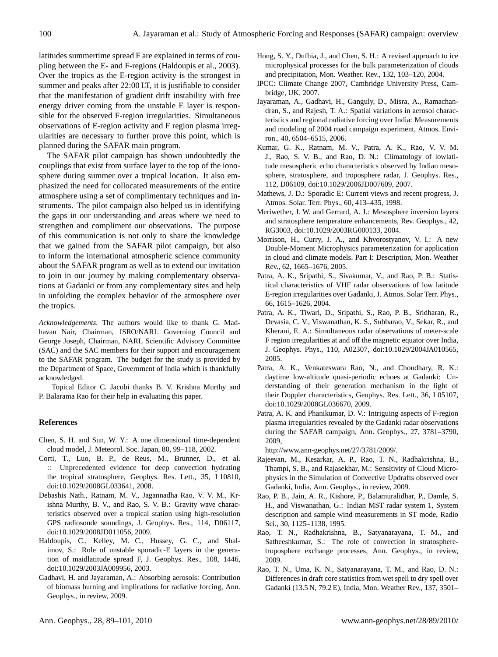latitudes summertime spread F are explained in terms of coupling between the E- and F-regions (Haldoupis et al., 2003). Over the tropics as the E-region activity is the strongest in summer and peaks after 22:00 LT, it is justifiable to consider that the manifestation of gradient drift instability with free energy driver coming from the unstable E layer is responsible for the observed F-region irregularities. Simultaneous observations of E-region activity and F region plasma irregularities are necessary to further prove this point, which is planned during the SAFAR main program.

The SAFAR pilot campaign has shown undoubtedly the couplings that exist from surface layer to the top of the ionosphere during summer over a tropical location. It also emphasized the need for collocated measurements of the entire atmosphere using a set of complimentary techniques and instruments. The pilot campaign also helped us in identifying the gaps in our understanding and areas where we need to strengthen and compliment our observations. The purpose of this communication is not only to share the knowledge that we gained from the SAFAR pilot campaign, but also to inform the international atmospheric science community about the SAFAR program as well as to extend our invitation to join in our journey by making complementary observations at Gadanki or from any complementary sites and help in unfolding the complex behavior of the atmosphere over the tropics.

*Acknowledgements.* The authors would like to thank G. Madhavan Nair, Chairman, ISRO/NARL Governing Council and George Joseph, Chairman, NARL Scientific Advisory Committee (SAC) and the SAC members for their support and encouragement to the SAFAR program. The budget for the study is provided by the Department of Space, Government of India which is thankfully acknowledged.

Topical Editor C. Jacobi thanks B. V. Krishna Murthy and P. Balarama Rao for their help in evaluating this paper.

# **References**

- Chen, S. H. and Sun, W. Y.: A one dimensional time-dependent cloud model, J. Meteorol. Soc. Japan, 80, 99–118, 2002.
- Corti, T., Luo, B. P., de Reus, M., Brunner, D., et al. :: Unprecedented evidence for deep convection hydrating the tropical stratosphere, Geophys. Res. Lett., 35, L10810, doi:10.1029/2008GL033641, 2008.
- Debashis Nath., Ratnam, M. V., Jagannadha Rao, V. V. M., Krishna Murthy, B. V., and Rao, S. V. B.: Gravity wave characteristics observed over a tropical station using high-resolution GPS radiosonde soundings, J. Geophys. Res., 114, D06117, doi:10.1029/2008JD011056, 2009.
- Haldoupis, C., Kelley, M. C., Hussey, G. C., and Shalimov, S.: Role of unstable sporadic-E layers in the generation of maidlatitude spread F, J. Geophys. Res., 108, 1446, doi:10.1029/2003JA009956, 2003.
- Gadhavi, H. and Jayaraman, A.: Absorbing aerosols: Contribution of biomass burning and implications for radiative forcing, Ann. Geophys., in review, 2009.
- Hong, S. Y., Dufhia, J., and Chen, S. H.: A revised approach to ice microphysical processes for the bulk parameterization of clouds and precipitation, Mon. Weather. Rev., 132, 103–120, 2004.
- IPCC: Climate Change 2007, Cambridge University Press, Cambridge, UK, 2007.
- Jayaraman, A., Gadhavi, H., Ganguly, D., Misra, A., Ramachandran, S., and Rajesh, T. A.: Spatial variations in aerosol characteristics and regional radiative forcing over India: Measurements and modeling of 2004 road campaign experiment, Atmos. Environ., 40, 6504–6515, 2006.
- Kumar, G. K., Ratnam, M. V., Patra, A. K., Rao, V. V. M. J., Rao, S. V. B., and Rao, D. N.: Climatology of lowlatitude mesospheric echo characteristics observed by Indian mesosphere, stratosphere, and troposphere radar, J. Geophys. Res., 112, D06109, doi:10.1029/2006JD007609, 2007.
- Mathews, J. D.: Sporadic E: Current views and recent progress, J. Atmos. Solar. Terr. Phys., 60, 413–435, 1998.
- Meriwether, J. W. and Gerrard, A. J.: Mesosphere inversion layers and stratosphere temperature enhancements, Rev. Geophys., 42, RG3003, doi:10.1029/2003RG000133, 2004.
- Morrison, H., Curry, J. A., and Khvorostyanov, V. I.: A new Double-Moment Microphysics parameterization for application in cloud and climate models. Part I: Description, Mon. Weather Rev., 62, 1665–1676, 2005.
- Patra, A. K., Sripathi, S., Sivakumar, V., and Rao, P. B.: Statistical characteristics of VHF radar observations of low latitude E-region irregularities over Gadanki, J. Atmos. Solar Terr. Phys., 66, 1615–1626, 2004.
- Patra, A. K., Tiwari, D., Sripathi, S., Rao, P. B., Sridharan, R., Devasia, C. V., Viswanathan, K. S., Subbarao, V., Sekar, R., and Kherani, E. A.: Simultaneous radar observations of meter-scale F region irregularities at and off the magnetic equator over India, J. Geophys. Phys., 110, A02307, doi:10.1029/2004JA010565, 2005.
- Patra, A. K., Venkateswara Rao, N., and Choudhary, R. K.: daytime low-altitude quasi-periodic echoes at Gadanki: Understanding of their generation mechanism in the light of their Doppler characteristics, Geophys. Res. Lett., 36, L05107, doi:10.1029/2008GL036670, 2009.
- Patra, A. K. and Phanikumar, D. V.: Intriguing aspects of F-region plasma irregularities revealed by the Gadanki radar observations during the SAFAR campaign, Ann. Geophys., 27, 3781–3790, 2009,

[http://www.ann-geophys.net/27/3781/2009/.](http://www.ann-geophys.net/27/3781/2009/)

- Rajeevan, M., Kesarkar, A. P., Rao, T. N., Radhakrishna, B., Thampi, S. B., and Rajasekhar, M.: Sensitivity of Cloud Microphysics in the Simulation of Convective Updrafts observed over Gadanki, India, Ann. Geophys., in review, 2009.
- Rao, P. B., Jain, A. R., Kishore, P., Balamuralidhar, P., Damle, S. H., and Viswanathan, G.: Indian MST radar system 1, System description and sample wind measurements in ST mode, Radio Sci., 30, 1125–1138, 1995.
- Rao, T. N., Radhakrishna, B., Satyanarayana, T. M., and Satheeshkumar, S.: The role of convection in stratospheretroposphere exchange processes, Ann. Geophys., in review, 2009.
- Rao, T. N., Uma, K. N., Satyanarayana, T. M., and Rao, D. N.: Differences in draft core statistics from wet spell to dry spell over Gadanki (13.5 N, 79.2 E), India, Mon. Weather Rev., 137, 3501–